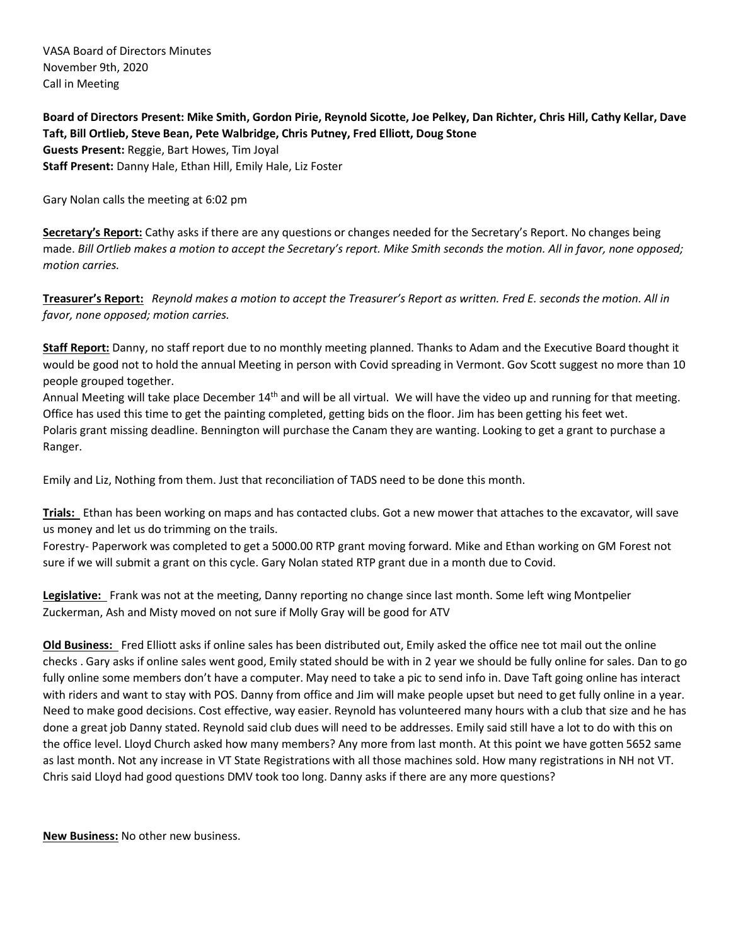VASA Board of Directors Minutes November 9th, 2020 Call in Meeting

**Board of Directors Present: Mike Smith, Gordon Pirie, Reynold Sicotte, Joe Pelkey, Dan Richter, Chris Hill, Cathy Kellar, Dave Taft, Bill Ortlieb, Steve Bean, Pete Walbridge, Chris Putney, Fred Elliott, Doug Stone Guests Present:** Reggie, Bart Howes, Tim Joyal **Staff Present:** Danny Hale, Ethan Hill, Emily Hale, Liz Foster

Gary Nolan calls the meeting at 6:02 pm

**Secretary's Report:** Cathy asks if there are any questions or changes needed for the Secretary's Report. No changes being made. *Bill Ortlieb makes a motion to accept the Secretary's report. Mike Smith seconds the motion. All in favor, none opposed; motion carries.*

**Treasurer's Report:** *Reynold makes a motion to accept the Treasurer's Report as written. Fred E. seconds the motion. All in favor, none opposed; motion carries.*

**Staff Report:** Danny, no staff report due to no monthly meeting planned. Thanks to Adam and the Executive Board thought it would be good not to hold the annual Meeting in person with Covid spreading in Vermont. Gov Scott suggest no more than 10 people grouped together.

Annual Meeting will take place December 14<sup>th</sup> and will be all virtual. We will have the video up and running for that meeting. Office has used this time to get the painting completed, getting bids on the floor. Jim has been getting his feet wet. Polaris grant missing deadline. Bennington will purchase the Canam they are wanting. Looking to get a grant to purchase a Ranger.

Emily and Liz, Nothing from them. Just that reconciliation of TADS need to be done this month.

**Trials:** Ethan has been working on maps and has contacted clubs. Got a new mower that attaches to the excavator, will save us money and let us do trimming on the trails.

Forestry- Paperwork was completed to get a 5000.00 RTP grant moving forward. Mike and Ethan working on GM Forest not sure if we will submit a grant on this cycle. Gary Nolan stated RTP grant due in a month due to Covid.

**Legislative:** Frank was not at the meeting, Danny reporting no change since last month. Some left wing Montpelier Zuckerman, Ash and Misty moved on not sure if Molly Gray will be good for ATV

**Old Business:** Fred Elliott asks if online sales has been distributed out, Emily asked the office nee tot mail out the online checks . Gary asks if online sales went good, Emily stated should be with in 2 year we should be fully online for sales. Dan to go fully online some members don't have a computer. May need to take a pic to send info in. Dave Taft going online has interact with riders and want to stay with POS. Danny from office and Jim will make people upset but need to get fully online in a year. Need to make good decisions. Cost effective, way easier. Reynold has volunteered many hours with a club that size and he has done a great job Danny stated. Reynold said club dues will need to be addresses. Emily said still have a lot to do with this on the office level. Lloyd Church asked how many members? Any more from last month. At this point we have gotten 5652 same as last month. Not any increase in VT State Registrations with all those machines sold. How many registrations in NH not VT. Chris said Lloyd had good questions DMV took too long. Danny asks if there are any more questions?

**New Business:** No other new business.